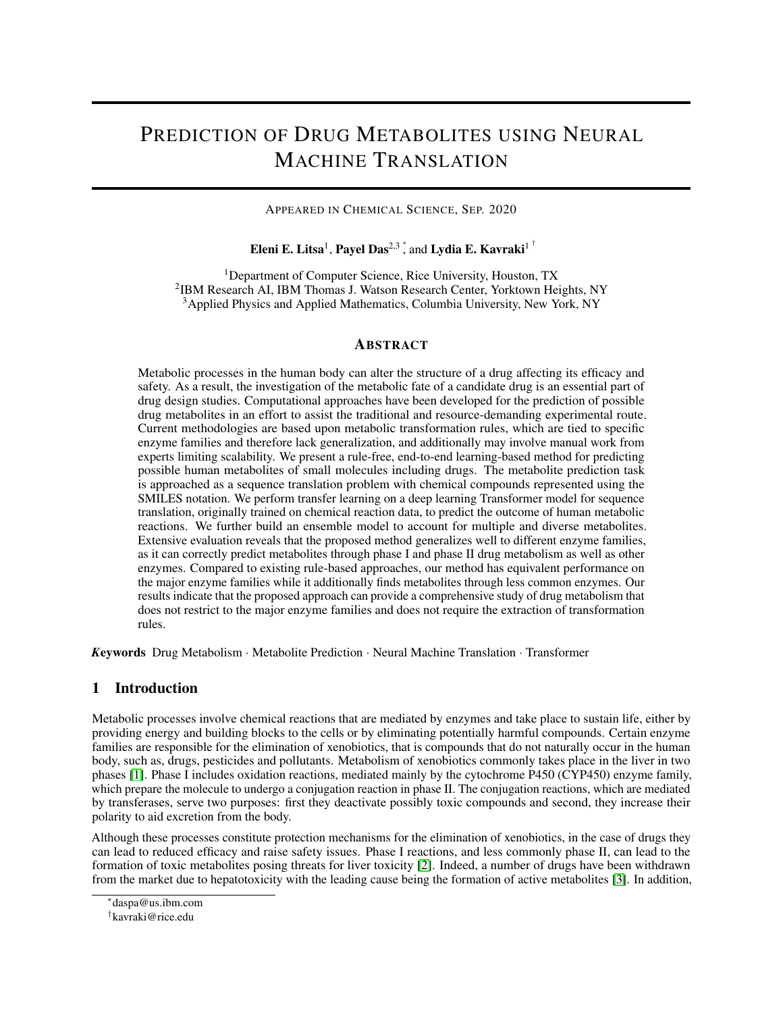# PREDICTION OF DRUG METABOLITES USING NEURAL MACHINE TRANSLATION

APPEARED IN CHEMICAL SCIENCE, SEP. 2020

Eleni E. Litsa<sup>1</sup>, Payel Das<sup>2,3</sup><sup>\*</sup>, and Lydia E. Kavraki<sup>1†</sup>

<sup>1</sup>Department of Computer Science, Rice University, Houston, TX 2 IBM Research AI, IBM Thomas J. Watson Research Center, Yorktown Heights, NY <sup>3</sup>Applied Physics and Applied Mathematics, Columbia University, New York, NY

#### **ABSTRACT**

Metabolic processes in the human body can alter the structure of a drug affecting its efficacy and safety. As a result, the investigation of the metabolic fate of a candidate drug is an essential part of drug design studies. Computational approaches have been developed for the prediction of possible drug metabolites in an effort to assist the traditional and resource-demanding experimental route. Current methodologies are based upon metabolic transformation rules, which are tied to specific enzyme families and therefore lack generalization, and additionally may involve manual work from experts limiting scalability. We present a rule-free, end-to-end learning-based method for predicting possible human metabolites of small molecules including drugs. The metabolite prediction task is approached as a sequence translation problem with chemical compounds represented using the SMILES notation. We perform transfer learning on a deep learning Transformer model for sequence translation, originally trained on chemical reaction data, to predict the outcome of human metabolic reactions. We further build an ensemble model to account for multiple and diverse metabolites. Extensive evaluation reveals that the proposed method generalizes well to different enzyme families, as it can correctly predict metabolites through phase I and phase II drug metabolism as well as other enzymes. Compared to existing rule-based approaches, our method has equivalent performance on the major enzyme families while it additionally finds metabolites through less common enzymes. Our results indicate that the proposed approach can provide a comprehensive study of drug metabolism that does not restrict to the major enzyme families and does not require the extraction of transformation rules.

*K*eywords Drug Metabolism · Metabolite Prediction · Neural Machine Translation · Transformer

# 1 Introduction

Metabolic processes involve chemical reactions that are mediated by enzymes and take place to sustain life, either by providing energy and building blocks to the cells or by eliminating potentially harmful compounds. Certain enzyme families are responsible for the elimination of xenobiotics, that is compounds that do not naturally occur in the human body, such as, drugs, pesticides and pollutants. Metabolism of xenobiotics commonly takes place in the liver in two phases [\[1\]](#page-12-0). Phase I includes oxidation reactions, mediated mainly by the cytochrome P450 (CYP450) enzyme family, which prepare the molecule to undergo a conjugation reaction in phase II. The conjugation reactions, which are mediated by transferases, serve two purposes: first they deactivate possibly toxic compounds and second, they increase their polarity to aid excretion from the body.

Although these processes constitute protection mechanisms for the elimination of xenobiotics, in the case of drugs they can lead to reduced efficacy and raise safety issues. Phase I reactions, and less commonly phase II, can lead to the formation of toxic metabolites posing threats for liver toxicity [\[2\]](#page-12-1). Indeed, a number of drugs have been withdrawn from the market due to hepatotoxicity with the leading cause being the formation of active metabolites [\[3\]](#page-12-2). In addition,

<sup>∗</sup> daspa@us.ibm.com

<sup>†</sup> kavraki@rice.edu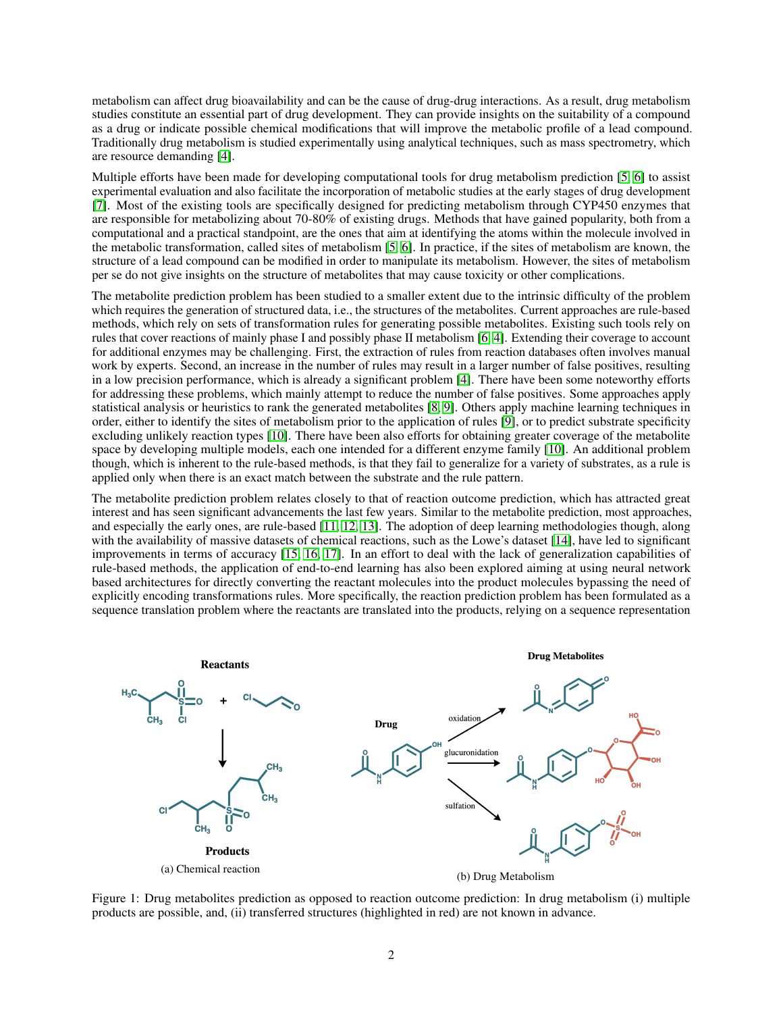metabolism can affect drug bioavailability and can be the cause of drug-drug interactions. As a result, drug metabolism studies constitute an essential part of drug development. They can provide insights on the suitability of a compound as a drug or indicate possible chemical modifications that will improve the metabolic profile of a lead compound. Traditionally drug metabolism is studied experimentally using analytical techniques, such as mass spectrometry, which are resource demanding [\[4\]](#page-12-3).

Multiple efforts have been made for developing computational tools for drug metabolism prediction [\[5,](#page-12-4) [6\]](#page-12-5) to assist experimental evaluation and also facilitate the incorporation of metabolic studies at the early stages of drug development [\[7\]](#page-12-6). Most of the existing tools are specifically designed for predicting metabolism through CYP450 enzymes that are responsible for metabolizing about 70-80% of existing drugs. Methods that have gained popularity, both from a computational and a practical standpoint, are the ones that aim at identifying the atoms within the molecule involved in the metabolic transformation, called sites of metabolism [\[5,](#page-12-4) [6\]](#page-12-5). In practice, if the sites of metabolism are known, the structure of a lead compound can be modified in order to manipulate its metabolism. However, the sites of metabolism per se do not give insights on the structure of metabolites that may cause toxicity or other complications.

The metabolite prediction problem has been studied to a smaller extent due to the intrinsic difficulty of the problem which requires the generation of structured data, i.e., the structures of the metabolites. Current approaches are rule-based methods, which rely on sets of transformation rules for generating possible metabolites. Existing such tools rely on rules that cover reactions of mainly phase I and possibly phase II metabolism [\[6,](#page-12-5) [4\]](#page-12-3). Extending their coverage to account for additional enzymes may be challenging. First, the extraction of rules from reaction databases often involves manual work by experts. Second, an increase in the number of rules may result in a larger number of false positives, resulting in a low precision performance, which is already a significant problem [\[4\]](#page-12-3). There have been some noteworthy efforts for addressing these problems, which mainly attempt to reduce the number of false positives. Some approaches apply statistical analysis or heuristics to rank the generated metabolites [\[8,](#page-13-0) [9\]](#page-13-1). Others apply machine learning techniques in order, either to identify the sites of metabolism prior to the application of rules [\[9\]](#page-13-1), or to predict substrate specificity excluding unlikely reaction types [\[10\]](#page-13-2). There have been also efforts for obtaining greater coverage of the metabolite space by developing multiple models, each one intended for a different enzyme family [\[10\]](#page-13-2). An additional problem though, which is inherent to the rule-based methods, is that they fail to generalize for a variety of substrates, as a rule is applied only when there is an exact match between the substrate and the rule pattern.

The metabolite prediction problem relates closely to that of reaction outcome prediction, which has attracted great interest and has seen significant advancements the last few years. Similar to the metabolite prediction, most approaches, and especially the early ones, are rule-based [\[11,](#page-13-3) [12,](#page-13-4) [13\]](#page-13-5). The adoption of deep learning methodologies though, along with the availability of massive datasets of chemical reactions, such as the Lowe's dataset [\[14\]](#page-13-6), have led to significant improvements in terms of accuracy [\[15,](#page-13-7) [16,](#page-13-8) [17\]](#page-13-9). In an effort to deal with the lack of generalization capabilities of rule-based methods, the application of end-to-end learning has also been explored aiming at using neural network based architectures for directly converting the reactant molecules into the product molecules bypassing the need of explicitly encoding transformations rules. More specifically, the reaction prediction problem has been formulated as a sequence translation problem where the reactants are translated into the products, relying on a sequence representation

<span id="page-1-0"></span>

Figure 1: Drug metabolites prediction as opposed to reaction outcome prediction: In drug metabolism (i) multiple products are possible, and, (ii) transferred structures (highlighted in red) are not known in advance.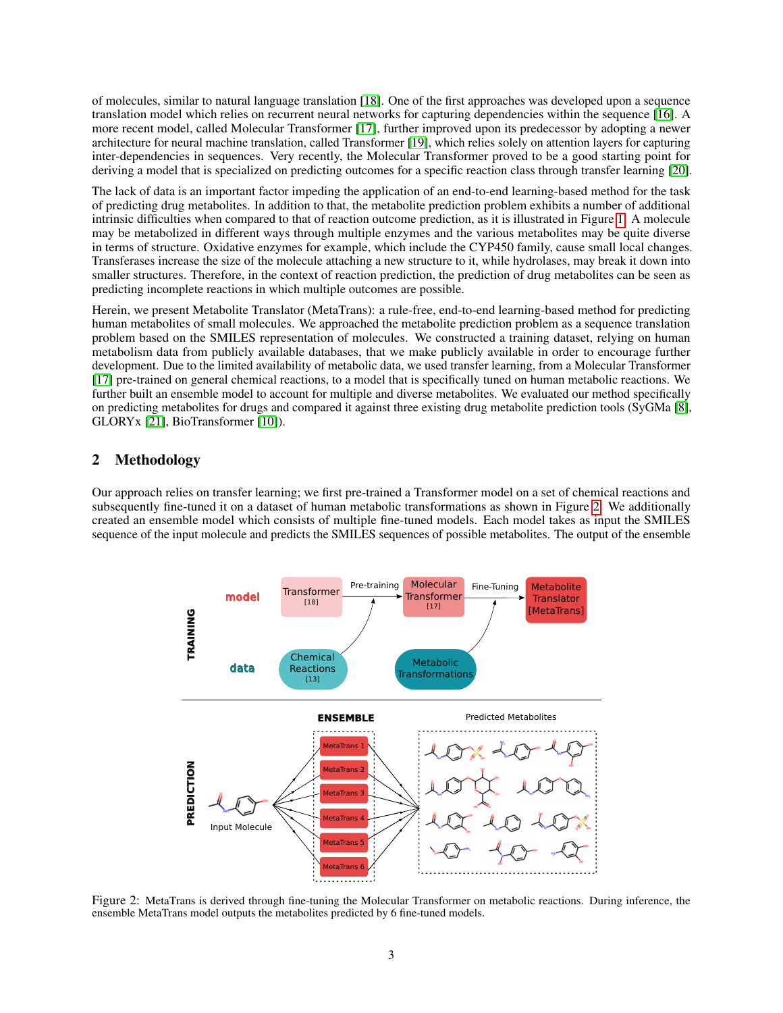of molecules, similar to natural language translation [\[18\]](#page-13-10). One of the first approaches was developed upon a sequence translation model which relies on recurrent neural networks for capturing dependencies within the sequence [\[16\]](#page-13-8). A more recent model, called Molecular Transformer [\[17\]](#page-13-9), further improved upon its predecessor by adopting a newer architecture for neural machine translation, called Transformer [\[19\]](#page-13-11), which relies solely on attention layers for capturing inter-dependencies in sequences. Very recently, the Molecular Transformer proved to be a good starting point for deriving a model that is specialized on predicting outcomes for a specific reaction class through transfer learning [\[20\]](#page-13-12).

The lack of data is an important factor impeding the application of an end-to-end learning-based method for the task of predicting drug metabolites. In addition to that, the metabolite prediction problem exhibits a number of additional intrinsic difficulties when compared to that of reaction outcome prediction, as it is illustrated in Figure [1:](#page-1-0) A molecule may be metabolized in different ways through multiple enzymes and the various metabolites may be quite diverse in terms of structure. Oxidative enzymes for example, which include the CYP450 family, cause small local changes. Transferases increase the size of the molecule attaching a new structure to it, while hydrolases, may break it down into smaller structures. Therefore, in the context of reaction prediction, the prediction of drug metabolites can be seen as predicting incomplete reactions in which multiple outcomes are possible.

Herein, we present Metabolite Translator (MetaTrans): a rule-free, end-to-end learning-based method for predicting human metabolites of small molecules. We approached the metabolite prediction problem as a sequence translation problem based on the SMILES representation of molecules. We constructed a training dataset, relying on human metabolism data from publicly available databases, that we make publicly available in order to encourage further development. Due to the limited availability of metabolic data, we used transfer learning, from a Molecular Transformer [\[17\]](#page-13-9) pre-trained on general chemical reactions, to a model that is specifically tuned on human metabolic reactions. We further built an ensemble model to account for multiple and diverse metabolites. We evaluated our method specifically on predicting metabolites for drugs and compared it against three existing drug metabolite prediction tools (SyGMa [\[8\]](#page-13-0), GLORYx [\[21\]](#page-13-13), BioTransformer [\[10\]](#page-13-2)).

# 2 Methodology

Our approach relies on transfer learning; we first pre-trained a Transformer model on a set of chemical reactions and subsequently fine-tuned it on a dataset of human metabolic transformations as shown in Figure [2.](#page-2-0) We additionally created an ensemble model which consists of multiple fine-tuned models. Each model takes as input the SMILES sequence of the input molecule and predicts the SMILES sequences of possible metabolites. The output of the ensemble

<span id="page-2-0"></span>

Figure 2: MetaTrans is derived through fine-tuning the Molecular Transformer on metabolic reactions. During inference, the ensemble MetaTrans model outputs the metabolites predicted by 6 fine-tuned models.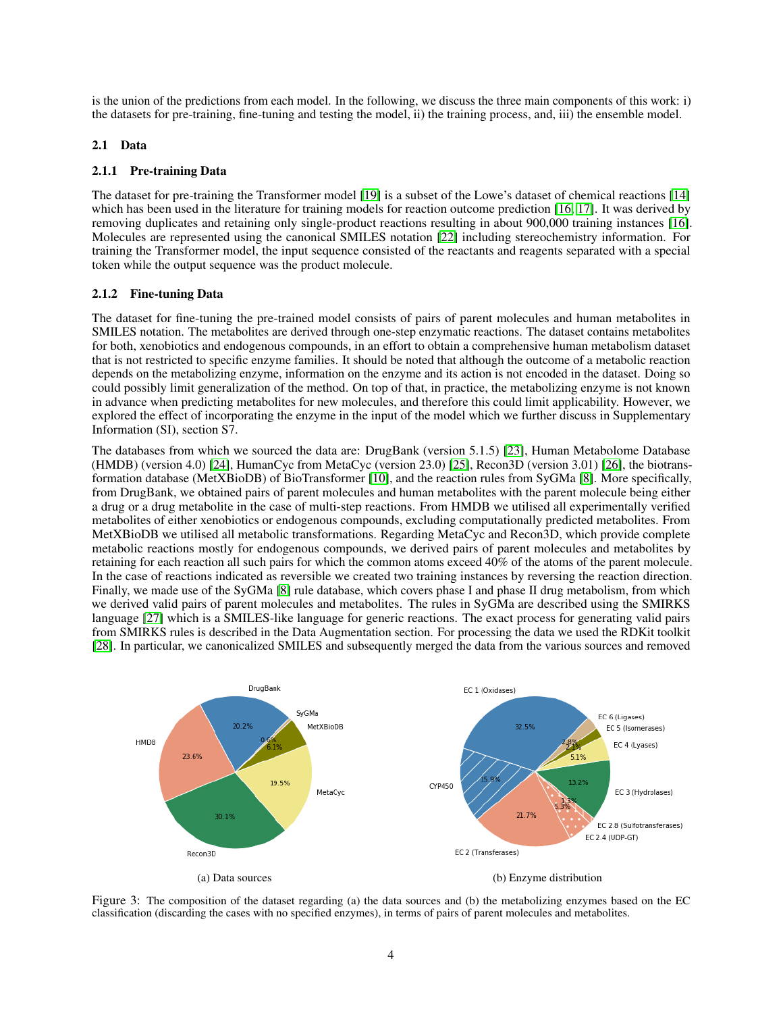is the union of the predictions from each model. In the following, we discuss the three main components of this work: i) the datasets for pre-training, fine-tuning and testing the model, ii) the training process, and, iii) the ensemble model.

#### 2.1 Data

#### 2.1.1 Pre-training Data

The dataset for pre-training the Transformer model [\[19\]](#page-13-11) is a subset of the Lowe's dataset of chemical reactions [\[14\]](#page-13-6) which has been used in the literature for training models for reaction outcome prediction [\[16,](#page-13-8) [17\]](#page-13-9). It was derived by removing duplicates and retaining only single-product reactions resulting in about 900,000 training instances [\[16\]](#page-13-8). Molecules are represented using the canonical SMILES notation [\[22\]](#page-13-14) including stereochemistry information. For training the Transformer model, the input sequence consisted of the reactants and reagents separated with a special token while the output sequence was the product molecule.

#### 2.1.2 Fine-tuning Data

The dataset for fine-tuning the pre-trained model consists of pairs of parent molecules and human metabolites in SMILES notation. The metabolites are derived through one-step enzymatic reactions. The dataset contains metabolites for both, xenobiotics and endogenous compounds, in an effort to obtain a comprehensive human metabolism dataset that is not restricted to specific enzyme families. It should be noted that although the outcome of a metabolic reaction depends on the metabolizing enzyme, information on the enzyme and its action is not encoded in the dataset. Doing so could possibly limit generalization of the method. On top of that, in practice, the metabolizing enzyme is not known in advance when predicting metabolites for new molecules, and therefore this could limit applicability. However, we explored the effect of incorporating the enzyme in the input of the model which we further discuss in Supplementary Information (SI), section S7.

The databases from which we sourced the data are: DrugBank (version 5.1.5) [\[23\]](#page-13-15), Human Metabolome Database (HMDB) (version 4.0) [\[24\]](#page-13-16), HumanCyc from MetaCyc (version 23.0) [\[25\]](#page-13-17), Recon3D (version 3.01) [\[26\]](#page-14-0), the biotransformation database (MetXBioDB) of BioTransformer [\[10\]](#page-13-2), and the reaction rules from SyGMa [\[8\]](#page-13-0). More specifically, from DrugBank, we obtained pairs of parent molecules and human metabolites with the parent molecule being either a drug or a drug metabolite in the case of multi-step reactions. From HMDB we utilised all experimentally verified metabolites of either xenobiotics or endogenous compounds, excluding computationally predicted metabolites. From MetXBioDB we utilised all metabolic transformations. Regarding MetaCyc and Recon3D, which provide complete metabolic reactions mostly for endogenous compounds, we derived pairs of parent molecules and metabolites by retaining for each reaction all such pairs for which the common atoms exceed 40% of the atoms of the parent molecule. In the case of reactions indicated as reversible we created two training instances by reversing the reaction direction. Finally, we made use of the SyGMa [\[8\]](#page-13-0) rule database, which covers phase I and phase II drug metabolism, from which we derived valid pairs of parent molecules and metabolites. The rules in SyGMa are described using the SMIRKS language [\[27\]](#page-14-1) which is a SMILES-like language for generic reactions. The exact process for generating valid pairs from SMIRKS rules is described in the Data Augmentation section. For processing the data we used the RDKit toolkit [\[28\]](#page-14-2). In particular, we canonicalized SMILES and subsequently merged the data from the various sources and removed

<span id="page-3-0"></span>

Figure 3: The composition of the dataset regarding (a) the data sources and (b) the metabolizing enzymes based on the EC classification (discarding the cases with no specified enzymes), in terms of pairs of parent molecules and metabolites.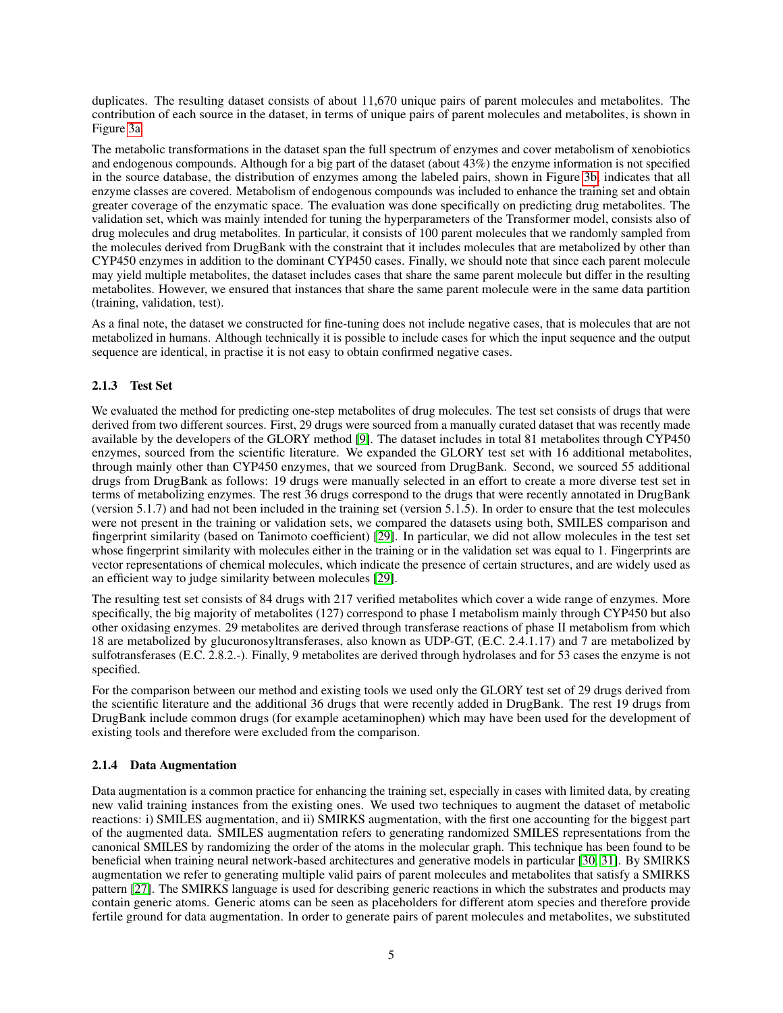duplicates. The resulting dataset consists of about 11,670 unique pairs of parent molecules and metabolites. The contribution of each source in the dataset, in terms of unique pairs of parent molecules and metabolites, is shown in Figure [3a.](#page-3-0)

The metabolic transformations in the dataset span the full spectrum of enzymes and cover metabolism of xenobiotics and endogenous compounds. Although for a big part of the dataset (about 43%) the enzyme information is not specified in the source database, the distribution of enzymes among the labeled pairs, shown in Figure [3b,](#page-3-0) indicates that all enzyme classes are covered. Metabolism of endogenous compounds was included to enhance the training set and obtain greater coverage of the enzymatic space. The evaluation was done specifically on predicting drug metabolites. The validation set, which was mainly intended for tuning the hyperparameters of the Transformer model, consists also of drug molecules and drug metabolites. In particular, it consists of 100 parent molecules that we randomly sampled from the molecules derived from DrugBank with the constraint that it includes molecules that are metabolized by other than CYP450 enzymes in addition to the dominant CYP450 cases. Finally, we should note that since each parent molecule may yield multiple metabolites, the dataset includes cases that share the same parent molecule but differ in the resulting metabolites. However, we ensured that instances that share the same parent molecule were in the same data partition (training, validation, test).

As a final note, the dataset we constructed for fine-tuning does not include negative cases, that is molecules that are not metabolized in humans. Although technically it is possible to include cases for which the input sequence and the output sequence are identical, in practise it is not easy to obtain confirmed negative cases.

# 2.1.3 Test Set

We evaluated the method for predicting one-step metabolites of drug molecules. The test set consists of drugs that were derived from two different sources. First, 29 drugs were sourced from a manually curated dataset that was recently made available by the developers of the GLORY method [\[9\]](#page-13-1). The dataset includes in total 81 metabolites through CYP450 enzymes, sourced from the scientific literature. We expanded the GLORY test set with 16 additional metabolites, through mainly other than CYP450 enzymes, that we sourced from DrugBank. Second, we sourced 55 additional drugs from DrugBank as follows: 19 drugs were manually selected in an effort to create a more diverse test set in terms of metabolizing enzymes. The rest 36 drugs correspond to the drugs that were recently annotated in DrugBank (version 5.1.7) and had not been included in the training set (version 5.1.5). In order to ensure that the test molecules were not present in the training or validation sets, we compared the datasets using both, SMILES comparison and fingerprint similarity (based on Tanimoto coefficient) [\[29\]](#page-14-3). In particular, we did not allow molecules in the test set whose fingerprint similarity with molecules either in the training or in the validation set was equal to 1. Fingerprints are vector representations of chemical molecules, which indicate the presence of certain structures, and are widely used as an efficient way to judge similarity between molecules [\[29\]](#page-14-3).

The resulting test set consists of 84 drugs with 217 verified metabolites which cover a wide range of enzymes. More specifically, the big majority of metabolites (127) correspond to phase I metabolism mainly through CYP450 but also other oxidasing enzymes. 29 metabolites are derived through transferase reactions of phase II metabolism from which 18 are metabolized by glucuronosyltransferases, also known as UDP-GT, (E.C. 2.4.1.17) and 7 are metabolized by sulfotransferases (E.C. 2.8.2.-). Finally, 9 metabolites are derived through hydrolases and for 53 cases the enzyme is not specified.

For the comparison between our method and existing tools we used only the GLORY test set of 29 drugs derived from the scientific literature and the additional 36 drugs that were recently added in DrugBank. The rest 19 drugs from DrugBank include common drugs (for example acetaminophen) which may have been used for the development of existing tools and therefore were excluded from the comparison.

#### 2.1.4 Data Augmentation

Data augmentation is a common practice for enhancing the training set, especially in cases with limited data, by creating new valid training instances from the existing ones. We used two techniques to augment the dataset of metabolic reactions: i) SMILES augmentation, and ii) SMIRKS augmentation, with the first one accounting for the biggest part of the augmented data. SMILES augmentation refers to generating randomized SMILES representations from the canonical SMILES by randomizing the order of the atoms in the molecular graph. This technique has been found to be beneficial when training neural network-based architectures and generative models in particular [\[30,](#page-14-4) [31\]](#page-14-5). By SMIRKS augmentation we refer to generating multiple valid pairs of parent molecules and metabolites that satisfy a SMIRKS pattern [\[27\]](#page-14-1). The SMIRKS language is used for describing generic reactions in which the substrates and products may contain generic atoms. Generic atoms can be seen as placeholders for different atom species and therefore provide fertile ground for data augmentation. In order to generate pairs of parent molecules and metabolites, we substituted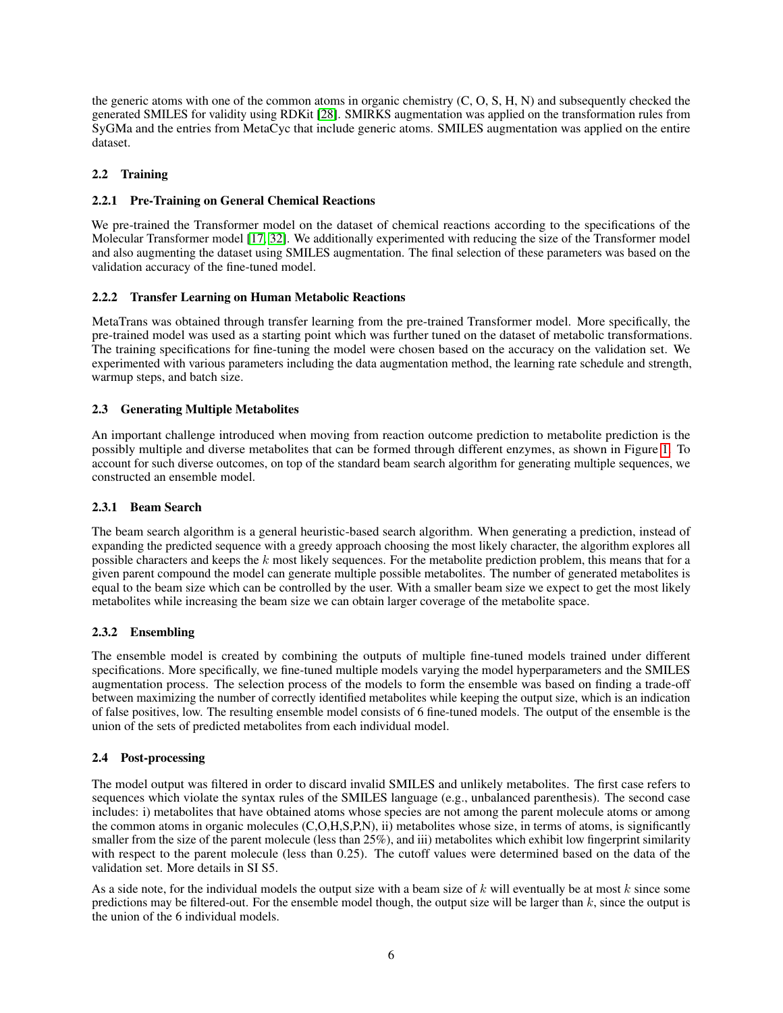the generic atoms with one of the common atoms in organic chemistry (C, O, S, H, N) and subsequently checked the generated SMILES for validity using RDKit [\[28\]](#page-14-2). SMIRKS augmentation was applied on the transformation rules from SyGMa and the entries from MetaCyc that include generic atoms. SMILES augmentation was applied on the entire dataset.

# 2.2 Training

#### 2.2.1 Pre-Training on General Chemical Reactions

We pre-trained the Transformer model on the dataset of chemical reactions according to the specifications of the Molecular Transformer model [\[17,](#page-13-9) [32\]](#page-14-6). We additionally experimented with reducing the size of the Transformer model and also augmenting the dataset using SMILES augmentation. The final selection of these parameters was based on the validation accuracy of the fine-tuned model.

#### 2.2.2 Transfer Learning on Human Metabolic Reactions

MetaTrans was obtained through transfer learning from the pre-trained Transformer model. More specifically, the pre-trained model was used as a starting point which was further tuned on the dataset of metabolic transformations. The training specifications for fine-tuning the model were chosen based on the accuracy on the validation set. We experimented with various parameters including the data augmentation method, the learning rate schedule and strength, warmup steps, and batch size.

#### 2.3 Generating Multiple Metabolites

An important challenge introduced when moving from reaction outcome prediction to metabolite prediction is the possibly multiple and diverse metabolites that can be formed through different enzymes, as shown in Figure [1.](#page-1-0) To account for such diverse outcomes, on top of the standard beam search algorithm for generating multiple sequences, we constructed an ensemble model.

#### 2.3.1 Beam Search

The beam search algorithm is a general heuristic-based search algorithm. When generating a prediction, instead of expanding the predicted sequence with a greedy approach choosing the most likely character, the algorithm explores all possible characters and keeps the  $k$  most likely sequences. For the metabolite prediction problem, this means that for a given parent compound the model can generate multiple possible metabolites. The number of generated metabolites is equal to the beam size which can be controlled by the user. With a smaller beam size we expect to get the most likely metabolites while increasing the beam size we can obtain larger coverage of the metabolite space.

#### 2.3.2 Ensembling

The ensemble model is created by combining the outputs of multiple fine-tuned models trained under different specifications. More specifically, we fine-tuned multiple models varying the model hyperparameters and the SMILES augmentation process. The selection process of the models to form the ensemble was based on finding a trade-off between maximizing the number of correctly identified metabolites while keeping the output size, which is an indication of false positives, low. The resulting ensemble model consists of 6 fine-tuned models. The output of the ensemble is the union of the sets of predicted metabolites from each individual model.

#### 2.4 Post-processing

The model output was filtered in order to discard invalid SMILES and unlikely metabolites. The first case refers to sequences which violate the syntax rules of the SMILES language (e.g., unbalanced parenthesis). The second case includes: i) metabolites that have obtained atoms whose species are not among the parent molecule atoms or among the common atoms in organic molecules (C,O,H,S,P,N), ii) metabolites whose size, in terms of atoms, is significantly smaller from the size of the parent molecule (less than 25%), and iii) metabolites which exhibit low fingerprint similarity with respect to the parent molecule (less than 0.25). The cutoff values were determined based on the data of the validation set. More details in SI S5.

As a side note, for the individual models the output size with a beam size of  $k$  will eventually be at most  $k$  since some predictions may be filtered-out. For the ensemble model though, the output size will be larger than  $k$ , since the output is the union of the 6 individual models.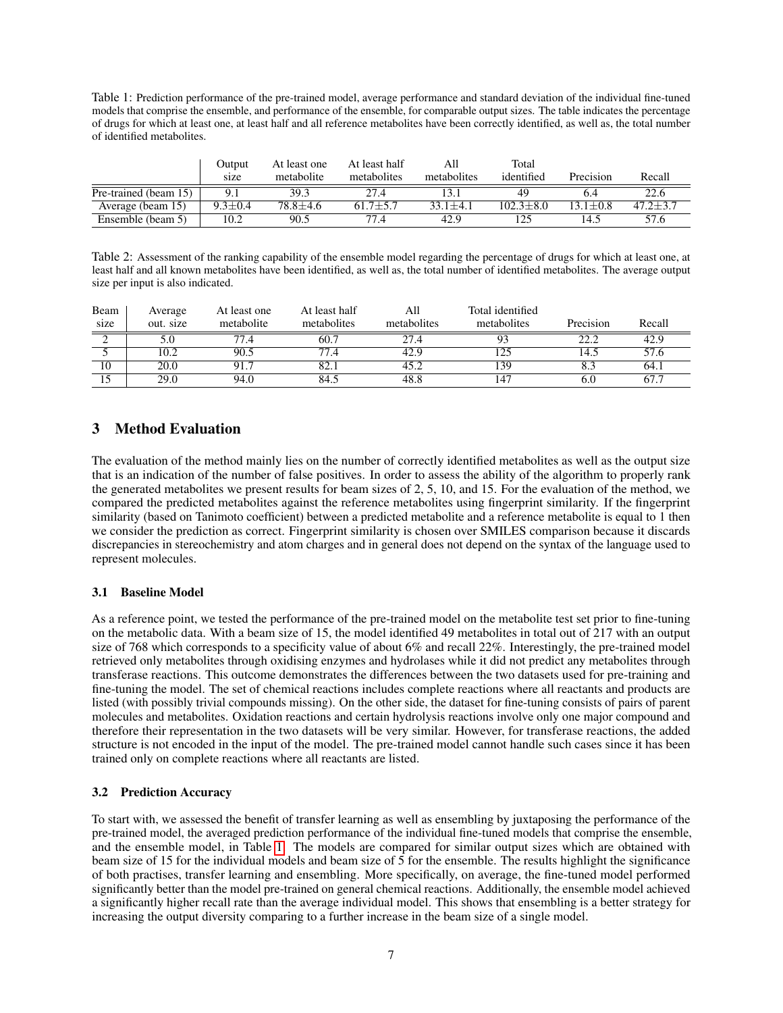<span id="page-6-0"></span>Table 1: Prediction performance of the pre-trained model, average performance and standard deviation of the individual fine-tuned models that comprise the ensemble, and performance of the ensemble, for comparable output sizes. The table indicates the percentage of drugs for which at least one, at least half and all reference metabolites have been correctly identified, as well as, the total number of identified metabolites.

|                       | Output<br>size | At least one<br>metabolite | At least half<br>metabolites | All<br>metabolites | Total<br>identified | Precision    | Recall       |
|-----------------------|----------------|----------------------------|------------------------------|--------------------|---------------------|--------------|--------------|
| Pre-trained (beam 15) | 9.1            | 39.3                       | 27.4                         | 13.1               | 49                  | 6.4          | 22.6         |
| Average (beam 15)     | $9.3 \pm 0.4$  | 78.8±4.6                   | $61.7 + 5.7$                 | $33.1 + 4.1$       | $102.3 + 8.0$       | $13.1 + 0.8$ | $47.2 + 3.7$ |
| Ensemble (beam 5)     | 10.2           | 90.5                       | 77.4                         | 42.9               | 125                 | 14.5         | 57.6         |

<span id="page-6-1"></span>Table 2: Assessment of the ranking capability of the ensemble model regarding the percentage of drugs for which at least one, at least half and all known metabolites have been identified, as well as, the total number of identified metabolites. The average output size per input is also indicated.

| Beam | Average   | At least one | At least half | All         | Total identified |           |        |
|------|-----------|--------------|---------------|-------------|------------------|-----------|--------|
| size | out. size | metabolite   | metabolites   | metabolites | metabolites      | Precision | Recall |
|      |           | 77.4         | 60.7          | 27.4        |                  | າາ າ      | 42.9   |
|      | 10.2      | 90.5         | 77.4          | 42.9        |                  | l4.5      | 57.6   |
| 10   | 20.0      | 91.7         | 82.           | 45.2        | 139              |           | 64.1   |
|      | 29.0      | 94.0         | 84.5          | 48.8        | 147              | 6.U       | 67.7   |

# 3 Method Evaluation

The evaluation of the method mainly lies on the number of correctly identified metabolites as well as the output size that is an indication of the number of false positives. In order to assess the ability of the algorithm to properly rank the generated metabolites we present results for beam sizes of 2, 5, 10, and 15. For the evaluation of the method, we compared the predicted metabolites against the reference metabolites using fingerprint similarity. If the fingerprint similarity (based on Tanimoto coefficient) between a predicted metabolite and a reference metabolite is equal to 1 then we consider the prediction as correct. Fingerprint similarity is chosen over SMILES comparison because it discards discrepancies in stereochemistry and atom charges and in general does not depend on the syntax of the language used to represent molecules.

# 3.1 Baseline Model

As a reference point, we tested the performance of the pre-trained model on the metabolite test set prior to fine-tuning on the metabolic data. With a beam size of 15, the model identified 49 metabolites in total out of 217 with an output size of 768 which corresponds to a specificity value of about 6% and recall 22%. Interestingly, the pre-trained model retrieved only metabolites through oxidising enzymes and hydrolases while it did not predict any metabolites through transferase reactions. This outcome demonstrates the differences between the two datasets used for pre-training and fine-tuning the model. The set of chemical reactions includes complete reactions where all reactants and products are listed (with possibly trivial compounds missing). On the other side, the dataset for fine-tuning consists of pairs of parent molecules and metabolites. Oxidation reactions and certain hydrolysis reactions involve only one major compound and therefore their representation in the two datasets will be very similar. However, for transferase reactions, the added structure is not encoded in the input of the model. The pre-trained model cannot handle such cases since it has been trained only on complete reactions where all reactants are listed.

# 3.2 Prediction Accuracy

To start with, we assessed the benefit of transfer learning as well as ensembling by juxtaposing the performance of the pre-trained model, the averaged prediction performance of the individual fine-tuned models that comprise the ensemble, and the ensemble model, in Table [1.](#page-6-0) The models are compared for similar output sizes which are obtained with beam size of 15 for the individual models and beam size of 5 for the ensemble. The results highlight the significance of both practises, transfer learning and ensembling. More specifically, on average, the fine-tuned model performed significantly better than the model pre-trained on general chemical reactions. Additionally, the ensemble model achieved a significantly higher recall rate than the average individual model. This shows that ensembling is a better strategy for increasing the output diversity comparing to a further increase in the beam size of a single model.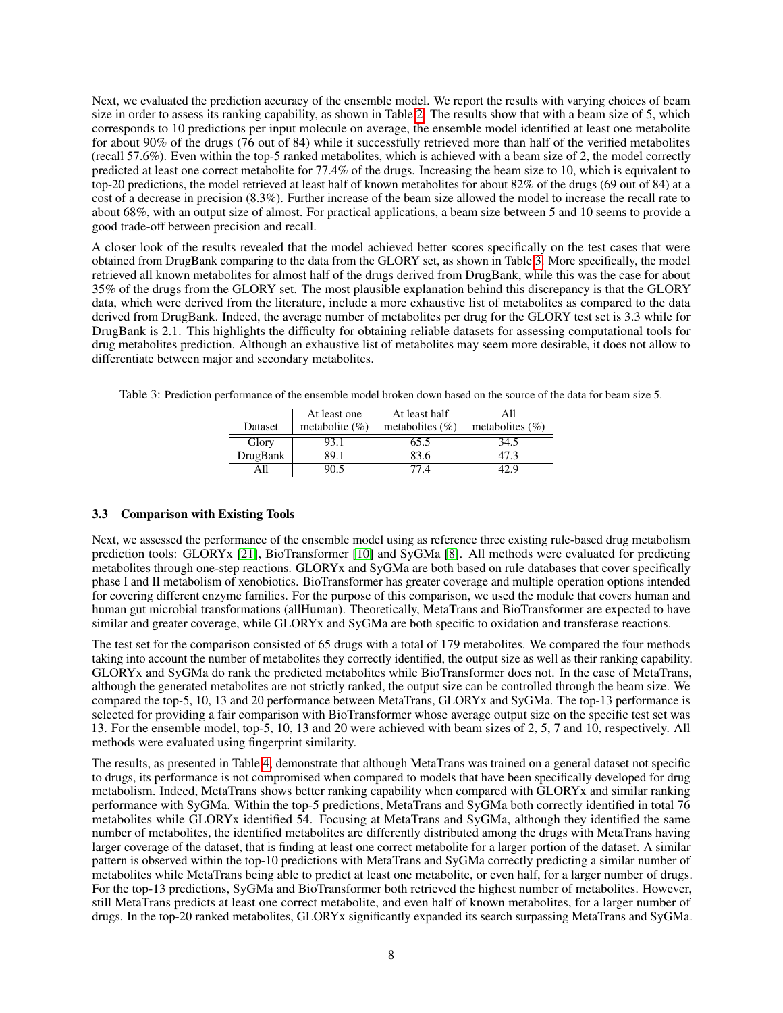Next, we evaluated the prediction accuracy of the ensemble model. We report the results with varying choices of beam size in order to assess its ranking capability, as shown in Table [2.](#page-6-1) The results show that with a beam size of 5, which corresponds to 10 predictions per input molecule on average, the ensemble model identified at least one metabolite for about 90% of the drugs (76 out of 84) while it successfully retrieved more than half of the verified metabolites (recall 57.6%). Even within the top-5 ranked metabolites, which is achieved with a beam size of 2, the model correctly predicted at least one correct metabolite for 77.4% of the drugs. Increasing the beam size to 10, which is equivalent to top-20 predictions, the model retrieved at least half of known metabolites for about 82% of the drugs (69 out of 84) at a cost of a decrease in precision (8.3%). Further increase of the beam size allowed the model to increase the recall rate to about 68%, with an output size of almost. For practical applications, a beam size between 5 and 10 seems to provide a good trade-off between precision and recall.

A closer look of the results revealed that the model achieved better scores specifically on the test cases that were obtained from DrugBank comparing to the data from the GLORY set, as shown in Table [3.](#page-7-0) More specifically, the model retrieved all known metabolites for almost half of the drugs derived from DrugBank, while this was the case for about 35% of the drugs from the GLORY set. The most plausible explanation behind this discrepancy is that the GLORY data, which were derived from the literature, include a more exhaustive list of metabolites as compared to the data derived from DrugBank. Indeed, the average number of metabolites per drug for the GLORY test set is 3.3 while for DrugBank is 2.1. This highlights the difficulty for obtaining reliable datasets for assessing computational tools for drug metabolites prediction. Although an exhaustive list of metabolites may seem more desirable, it does not allow to differentiate between major and secondary metabolites.

<span id="page-7-0"></span>

| Table 3: Prediction performance of the ensemble model broken down based on the source of the data for beam size 5. |  |
|--------------------------------------------------------------------------------------------------------------------|--|
|--------------------------------------------------------------------------------------------------------------------|--|

|                 | At least one      | At least half      | All                |
|-----------------|-------------------|--------------------|--------------------|
| Dataset         | metabolite $(\%)$ | metabolites $(\%)$ | metabolites $(\%)$ |
| Glory           | 93.1              | 65.5               | 34.5               |
| <b>DrugBank</b> | 89.1              | 83.6               | 47.3               |
|                 | 90.5              | 17 A               |                    |

#### 3.3 Comparison with Existing Tools

Next, we assessed the performance of the ensemble model using as reference three existing rule-based drug metabolism prediction tools: GLORYx [\[21\]](#page-13-13), BioTransformer [\[10\]](#page-13-2) and SyGMa [\[8\]](#page-13-0). All methods were evaluated for predicting metabolites through one-step reactions. GLORYx and SyGMa are both based on rule databases that cover specifically phase I and II metabolism of xenobiotics. BioTransformer has greater coverage and multiple operation options intended for covering different enzyme families. For the purpose of this comparison, we used the module that covers human and human gut microbial transformations (allHuman). Theoretically, MetaTrans and BioTransformer are expected to have similar and greater coverage, while GLORYx and SyGMa are both specific to oxidation and transferase reactions.

The test set for the comparison consisted of 65 drugs with a total of 179 metabolites. We compared the four methods taking into account the number of metabolites they correctly identified, the output size as well as their ranking capability. GLORYx and SyGMa do rank the predicted metabolites while BioTransformer does not. In the case of MetaTrans, although the generated metabolites are not strictly ranked, the output size can be controlled through the beam size. We compared the top-5, 10, 13 and 20 performance between MetaTrans, GLORYx and SyGMa. The top-13 performance is selected for providing a fair comparison with BioTransformer whose average output size on the specific test set was 13. For the ensemble model, top-5, 10, 13 and 20 were achieved with beam sizes of 2, 5, 7 and 10, respectively. All methods were evaluated using fingerprint similarity.

The results, as presented in Table [4,](#page-8-0) demonstrate that although MetaTrans was trained on a general dataset not specific to drugs, its performance is not compromised when compared to models that have been specifically developed for drug metabolism. Indeed, MetaTrans shows better ranking capability when compared with GLORYx and similar ranking performance with SyGMa. Within the top-5 predictions, MetaTrans and SyGMa both correctly identified in total 76 metabolites while GLORYx identified 54. Focusing at MetaTrans and SyGMa, although they identified the same number of metabolites, the identified metabolites are differently distributed among the drugs with MetaTrans having larger coverage of the dataset, that is finding at least one correct metabolite for a larger portion of the dataset. A similar pattern is observed within the top-10 predictions with MetaTrans and SyGMa correctly predicting a similar number of metabolites while MetaTrans being able to predict at least one metabolite, or even half, for a larger number of drugs. For the top-13 predictions, SyGMa and BioTransformer both retrieved the highest number of metabolites. However, still MetaTrans predicts at least one correct metabolite, and even half of known metabolites, for a larger number of drugs. In the top-20 ranked metabolites, GLORYx significantly expanded its search surpassing MetaTrans and SyGMa.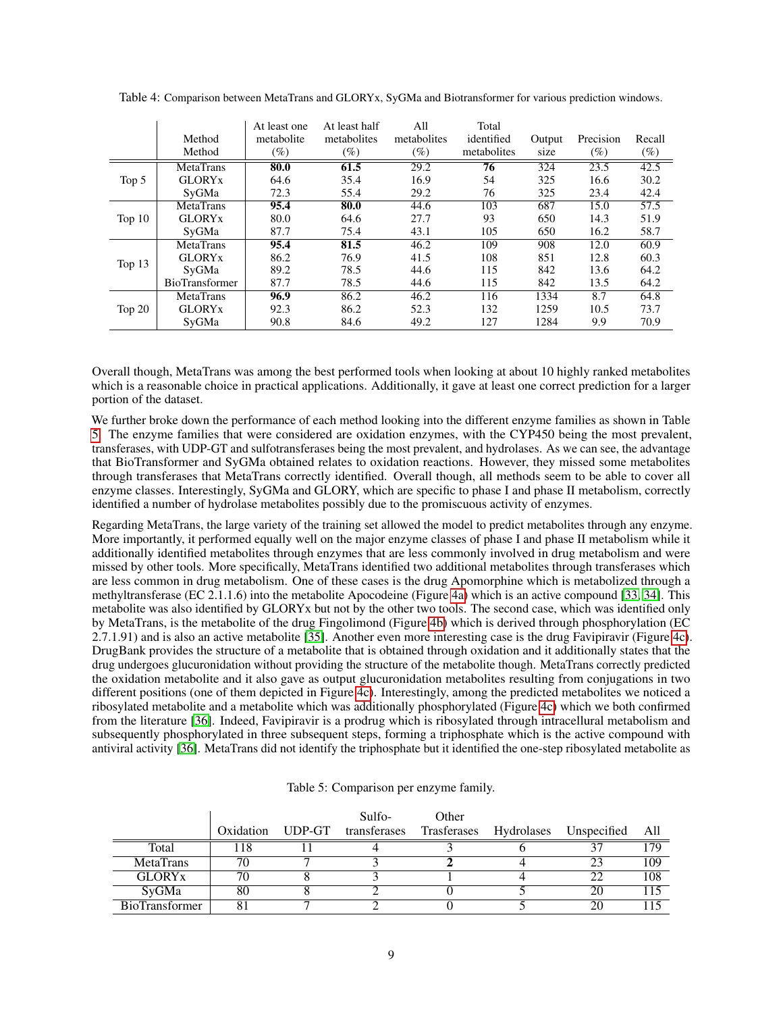|          | Method<br>Method          | At least one<br>metabolite<br>$(\%)$ | At least half<br>metabolites<br>$(\%)$ | All<br>metabolites<br>(%) | Total<br>identified<br>metabolites | Output<br>size | Precision<br>(%) | Recall<br>$(\%)$ |
|----------|---------------------------|--------------------------------------|----------------------------------------|---------------------------|------------------------------------|----------------|------------------|------------------|
|          | <b>MetaTrans</b>          | 80.0                                 | 61.5                                   | 29.2                      | 76                                 | 324            | 23.5             | 42.5             |
| Top 5    | <b>GLORYX</b>             | 64.6                                 | 35.4                                   | 16.9                      | 54                                 | 325            | 16.6             | 30.2             |
|          | SyGMa                     | 72.3                                 | 55.4                                   | 29.2                      | 76                                 | 325            | 23.4             | 42.4             |
|          | MetaTrans                 | 95.4                                 | 80.0                                   | 44.6                      | 103                                | 687            | 15.0             | 57.5             |
| Top $10$ | <b>GLORY<sub>x</sub></b>  | 80.0                                 | 64.6                                   | 27.7                      | 93                                 | 650            | 14.3             | 51.9             |
|          | SyGMa                     | 87.7                                 | 75.4                                   | 43.1                      | 105                                | 650            | 16.2             | 58.7             |
|          | <b>MetaTrans</b>          | 95.4                                 | 81.5                                   | 46.2                      | 109                                | 908            | 12.0             | 60.9             |
| Top $13$ | <b>GLORY</b> <sub>x</sub> | 86.2                                 | 76.9                                   | 41.5                      | 108                                | 851            | 12.8             | 60.3             |
|          | SyGMa                     | 89.2                                 | 78.5                                   | 44.6                      | 115                                | 842            | 13.6             | 64.2             |
|          | <b>BioTransformer</b>     | 87.7                                 | 78.5                                   | 44.6                      | 115                                | 842            | 13.5             | 64.2             |
|          | <b>MetaTrans</b>          | 96.9                                 | 86.2                                   | 46.2                      | 116                                | 1334           | 8.7              | 64.8             |
| Top $20$ | <b>GLORYX</b>             | 92.3                                 | 86.2                                   | 52.3                      | 132                                | 1259           | 10.5             | 73.7             |
|          | SyGMa                     | 90.8                                 | 84.6                                   | 49.2                      | 127                                | 1284           | 9.9              | 70.9             |

<span id="page-8-0"></span>Table 4: Comparison between MetaTrans and GLORYx, SyGMa and Biotransformer for various prediction windows.

Overall though, MetaTrans was among the best performed tools when looking at about 10 highly ranked metabolites which is a reasonable choice in practical applications. Additionally, it gave at least one correct prediction for a larger portion of the dataset.

We further broke down the performance of each method looking into the different enzyme families as shown in Table [5.](#page-8-1) The enzyme families that were considered are oxidation enzymes, with the CYP450 being the most prevalent, transferases, with UDP-GT and sulfotransferases being the most prevalent, and hydrolases. As we can see, the advantage that BioTransformer and SyGMa obtained relates to oxidation reactions. However, they missed some metabolites through transferases that MetaTrans correctly identified. Overall though, all methods seem to be able to cover all enzyme classes. Interestingly, SyGMa and GLORY, which are specific to phase I and phase II metabolism, correctly identified a number of hydrolase metabolites possibly due to the promiscuous activity of enzymes.

Regarding MetaTrans, the large variety of the training set allowed the model to predict metabolites through any enzyme. More importantly, it performed equally well on the major enzyme classes of phase I and phase II metabolism while it additionally identified metabolites through enzymes that are less commonly involved in drug metabolism and were missed by other tools. More specifically, MetaTrans identified two additional metabolites through transferases which are less common in drug metabolism. One of these cases is the drug Apomorphine which is metabolized through a methyltransferase (EC 2.1.1.6) into the metabolite Apocodeine (Figure [4a\)](#page-9-0) which is an active compound [\[33,](#page-14-7) [34\]](#page-14-8). This metabolite was also identified by GLORYx but not by the other two tools. The second case, which was identified only by MetaTrans, is the metabolite of the drug Fingolimond (Figure [4b\)](#page-9-0) which is derived through phosphorylation (EC 2.7.1.91) and is also an active metabolite [\[35\]](#page-14-9). Another even more interesting case is the drug Favipiravir (Figure [4c\)](#page-9-0). DrugBank provides the structure of a metabolite that is obtained through oxidation and it additionally states that the drug undergoes glucuronidation without providing the structure of the metabolite though. MetaTrans correctly predicted the oxidation metabolite and it also gave as output glucuronidation metabolites resulting from conjugations in two different positions (one of them depicted in Figure [4c\)](#page-9-0). Interestingly, among the predicted metabolites we noticed a ribosylated metabolite and a metabolite which was additionally phosphorylated (Figure [4c\)](#page-9-0) which we both confirmed from the literature [\[36\]](#page-14-10). Indeed, Favipiravir is a prodrug which is ribosylated through intracellural metabolism and subsequently phosphorylated in three subsequent steps, forming a triphosphate which is the active compound with antiviral activity [\[36\]](#page-14-10). MetaTrans did not identify the triphosphate but it identified the one-step ribosylated metabolite as

| Table 5: Comparison per enzyme family. |  |  |  |
|----------------------------------------|--|--|--|
|                                        |  |  |  |

<span id="page-8-1"></span>

|                       | Oxidation | $UDP-GT$ | Sulfo-<br>transferases | Other<br>Trasferases | Hydrolases | Unspecified | - A11 |
|-----------------------|-----------|----------|------------------------|----------------------|------------|-------------|-------|
| Total                 | 18        |          |                        |                      |            | 37          | 179   |
| <b>MetaTrans</b>      | 70        |          |                        |                      |            | 23          | 109   |
| <b>GLORYX</b>         | 70        |          |                        |                      |            | 22          | 108   |
| SyGMa                 | 80        |          |                        |                      |            | 20          | 115   |
| <b>BioTransformer</b> |           |          |                        |                      |            | 20          |       |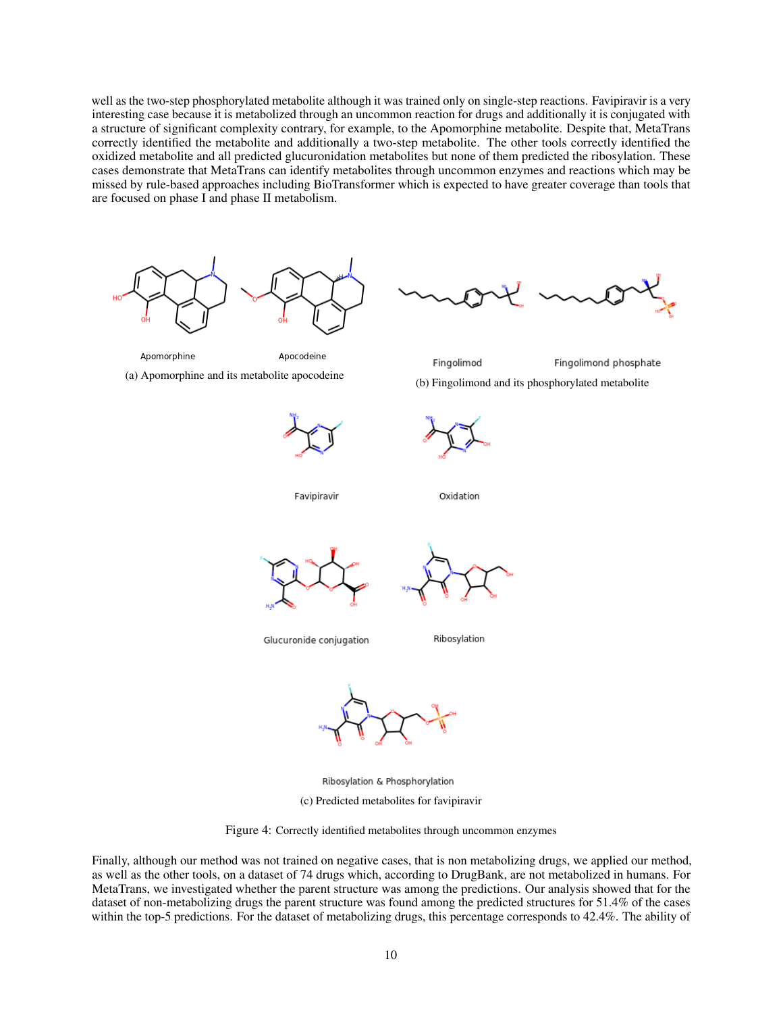well as the two-step phosphorylated metabolite although it was trained only on single-step reactions. Favipiravir is a very interesting case because it is metabolized through an uncommon reaction for drugs and additionally it is conjugated with a structure of significant complexity contrary, for example, to the Apomorphine metabolite. Despite that, MetaTrans correctly identified the metabolite and additionally a two-step metabolite. The other tools correctly identified the oxidized metabolite and all predicted glucuronidation metabolites but none of them predicted the ribosylation. These cases demonstrate that MetaTrans can identify metabolites through uncommon enzymes and reactions which may be missed by rule-based approaches including BioTransformer which is expected to have greater coverage than tools that are focused on phase I and phase II metabolism.

<span id="page-9-0"></span>

Apomorphine Apocodeine

(a) Apomorphine and its metabolite apocodeine (b) Fingolimond and its phosphorylated metabolite



Fingolimod

Fingolimond phosphate

Favipiravir







Glucuronide conjugation

Ribosylation



Ribosylation & Phosphorylation

(c) Predicted metabolites for favipiravir

Figure 4: Correctly identified metabolites through uncommon enzymes

Finally, although our method was not trained on negative cases, that is non metabolizing drugs, we applied our method, as well as the other tools, on a dataset of 74 drugs which, according to DrugBank, are not metabolized in humans. For MetaTrans, we investigated whether the parent structure was among the predictions. Our analysis showed that for the dataset of non-metabolizing drugs the parent structure was found among the predicted structures for 51.4% of the cases within the top-5 predictions. For the dataset of metabolizing drugs, this percentage corresponds to 42.4%. The ability of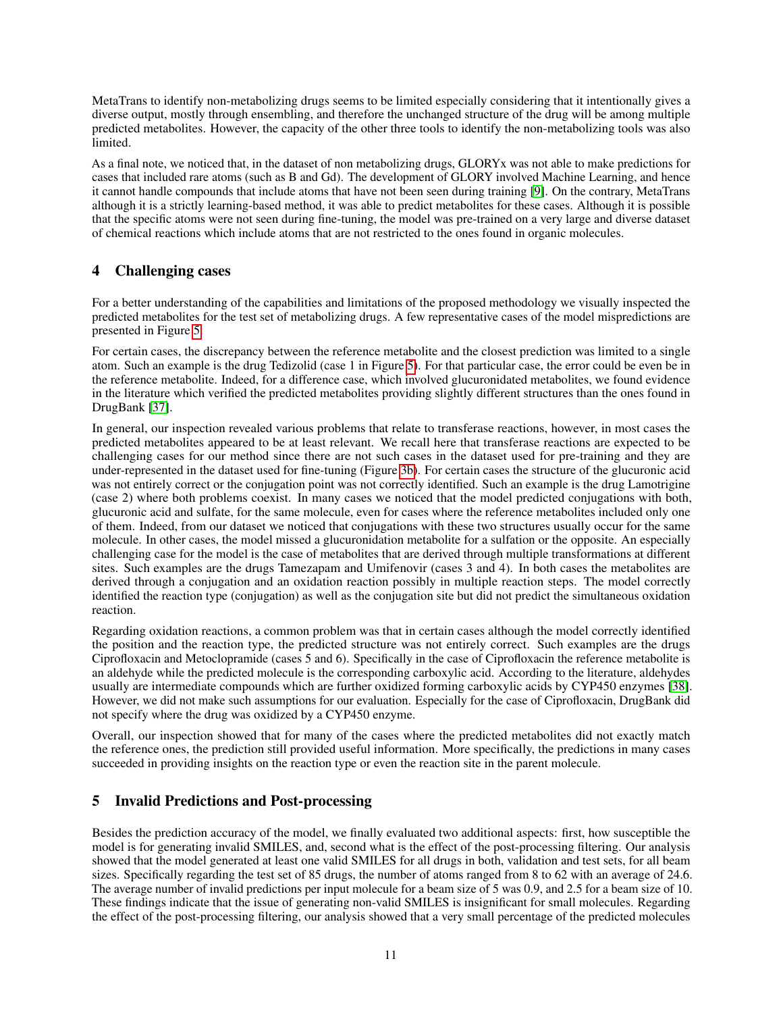MetaTrans to identify non-metabolizing drugs seems to be limited especially considering that it intentionally gives a diverse output, mostly through ensembling, and therefore the unchanged structure of the drug will be among multiple predicted metabolites. However, the capacity of the other three tools to identify the non-metabolizing tools was also limited.

As a final note, we noticed that, in the dataset of non metabolizing drugs, GLORYx was not able to make predictions for cases that included rare atoms (such as B and Gd). The development of GLORY involved Machine Learning, and hence it cannot handle compounds that include atoms that have not been seen during training [\[9\]](#page-13-1). On the contrary, MetaTrans although it is a strictly learning-based method, it was able to predict metabolites for these cases. Although it is possible that the specific atoms were not seen during fine-tuning, the model was pre-trained on a very large and diverse dataset of chemical reactions which include atoms that are not restricted to the ones found in organic molecules.

# 4 Challenging cases

For a better understanding of the capabilities and limitations of the proposed methodology we visually inspected the predicted metabolites for the test set of metabolizing drugs. A few representative cases of the model mispredictions are presented in Figure [5.](#page-11-0)

For certain cases, the discrepancy between the reference metabolite and the closest prediction was limited to a single atom. Such an example is the drug Tedizolid (case 1 in Figure [5\)](#page-11-0). For that particular case, the error could be even be in the reference metabolite. Indeed, for a difference case, which involved glucuronidated metabolites, we found evidence in the literature which verified the predicted metabolites providing slightly different structures than the ones found in DrugBank [\[37\]](#page-14-11).

In general, our inspection revealed various problems that relate to transferase reactions, however, in most cases the predicted metabolites appeared to be at least relevant. We recall here that transferase reactions are expected to be challenging cases for our method since there are not such cases in the dataset used for pre-training and they are under-represented in the dataset used for fine-tuning (Figure [3b\)](#page-3-0). For certain cases the structure of the glucuronic acid was not entirely correct or the conjugation point was not correctly identified. Such an example is the drug Lamotrigine (case 2) where both problems coexist. In many cases we noticed that the model predicted conjugations with both, glucuronic acid and sulfate, for the same molecule, even for cases where the reference metabolites included only one of them. Indeed, from our dataset we noticed that conjugations with these two structures usually occur for the same molecule. In other cases, the model missed a glucuronidation metabolite for a sulfation or the opposite. An especially challenging case for the model is the case of metabolites that are derived through multiple transformations at different sites. Such examples are the drugs Tamezapam and Umifenovir (cases 3 and 4). In both cases the metabolites are derived through a conjugation and an oxidation reaction possibly in multiple reaction steps. The model correctly identified the reaction type (conjugation) as well as the conjugation site but did not predict the simultaneous oxidation reaction.

Regarding oxidation reactions, a common problem was that in certain cases although the model correctly identified the position and the reaction type, the predicted structure was not entirely correct. Such examples are the drugs Ciprofloxacin and Metoclopramide (cases 5 and 6). Specifically in the case of Ciprofloxacin the reference metabolite is an aldehyde while the predicted molecule is the corresponding carboxylic acid. According to the literature, aldehydes usually are intermediate compounds which are further oxidized forming carboxylic acids by CYP450 enzymes [\[38\]](#page-14-12). However, we did not make such assumptions for our evaluation. Especially for the case of Ciprofloxacin, DrugBank did not specify where the drug was oxidized by a CYP450 enzyme.

Overall, our inspection showed that for many of the cases where the predicted metabolites did not exactly match the reference ones, the prediction still provided useful information. More specifically, the predictions in many cases succeeded in providing insights on the reaction type or even the reaction site in the parent molecule.

# 5 Invalid Predictions and Post-processing

Besides the prediction accuracy of the model, we finally evaluated two additional aspects: first, how susceptible the model is for generating invalid SMILES, and, second what is the effect of the post-processing filtering. Our analysis showed that the model generated at least one valid SMILES for all drugs in both, validation and test sets, for all beam sizes. Specifically regarding the test set of 85 drugs, the number of atoms ranged from 8 to 62 with an average of 24.6. The average number of invalid predictions per input molecule for a beam size of 5 was 0.9, and 2.5 for a beam size of 10. These findings indicate that the issue of generating non-valid SMILES is insignificant for small molecules. Regarding the effect of the post-processing filtering, our analysis showed that a very small percentage of the predicted molecules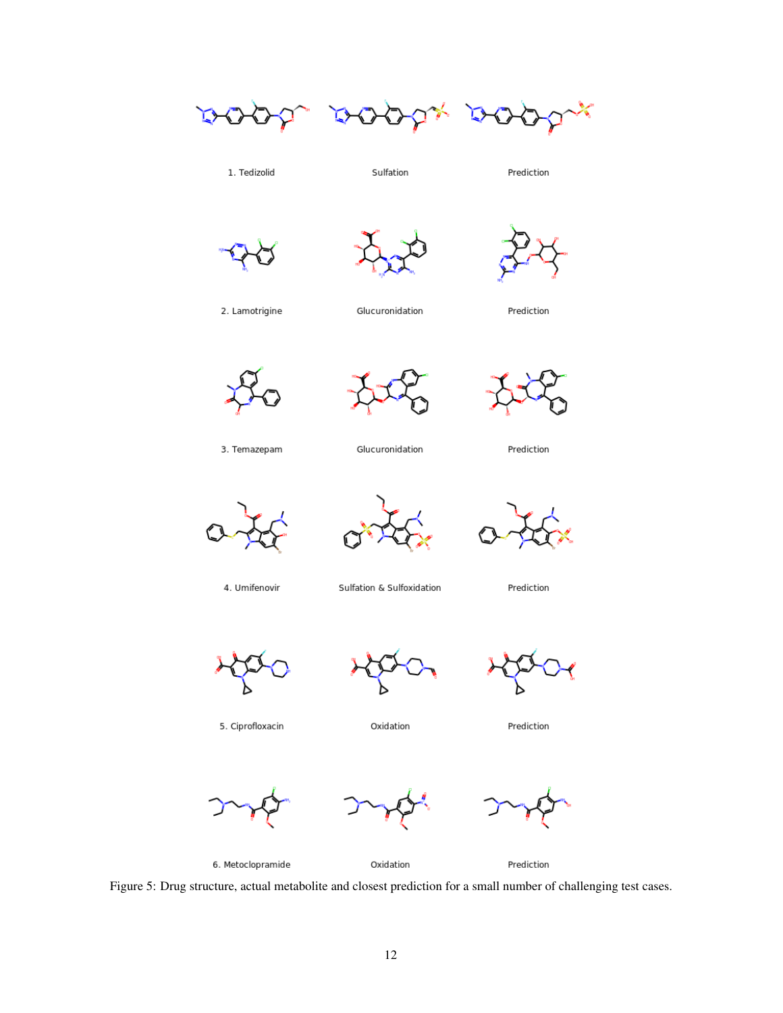<span id="page-11-0"></span>

1. Tedizolid

Sulfation

Prediction



2. Lamotrigine







Prediction



3. Temazepam



Glucuronidation

Glucuronidation



Prediction



4. Umifenovir



Sulfation & Sulfoxidation



Prediction



5. Ciprofloxacin

Oxidation

Prediction





6. Metoclopramide Oxidation Prediction

Figure 5: Drug structure, actual metabolite and closest prediction for a small number of challenging test cases.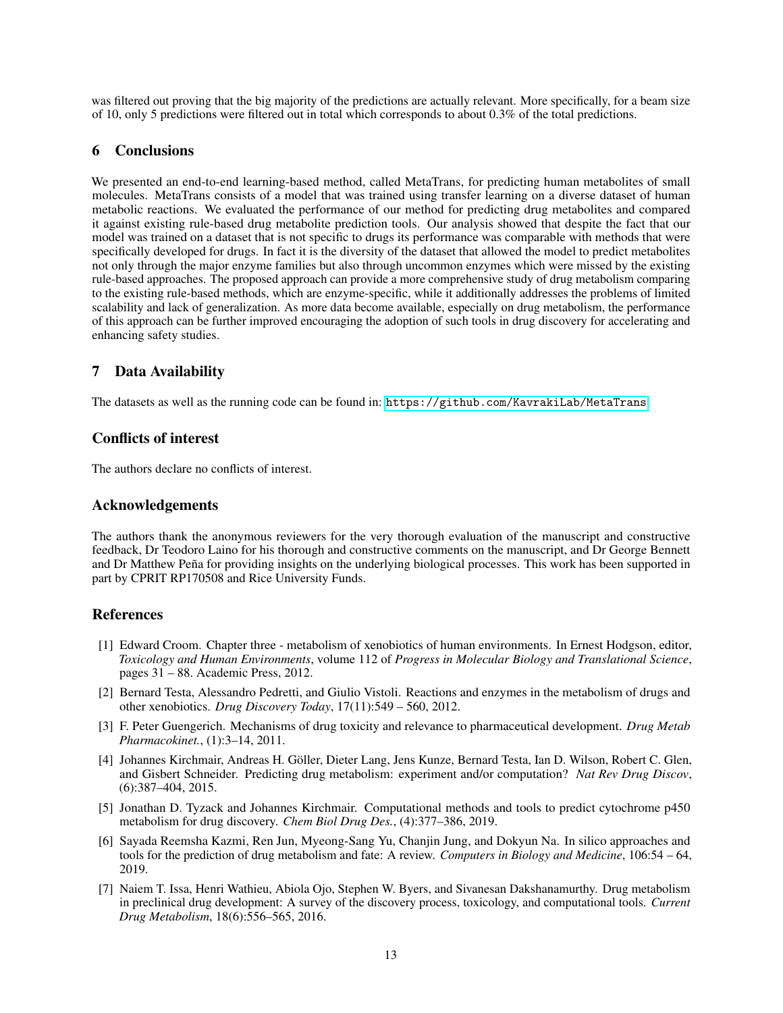was filtered out proving that the big majority of the predictions are actually relevant. More specifically, for a beam size of 10, only 5 predictions were filtered out in total which corresponds to about 0.3% of the total predictions.

# 6 Conclusions

We presented an end-to-end learning-based method, called MetaTrans, for predicting human metabolites of small molecules. MetaTrans consists of a model that was trained using transfer learning on a diverse dataset of human metabolic reactions. We evaluated the performance of our method for predicting drug metabolites and compared it against existing rule-based drug metabolite prediction tools. Our analysis showed that despite the fact that our model was trained on a dataset that is not specific to drugs its performance was comparable with methods that were specifically developed for drugs. In fact it is the diversity of the dataset that allowed the model to predict metabolites not only through the major enzyme families but also through uncommon enzymes which were missed by the existing rule-based approaches. The proposed approach can provide a more comprehensive study of drug metabolism comparing to the existing rule-based methods, which are enzyme-specific, while it additionally addresses the problems of limited scalability and lack of generalization. As more data become available, especially on drug metabolism, the performance of this approach can be further improved encouraging the adoption of such tools in drug discovery for accelerating and enhancing safety studies.

# 7 Data Availability

The datasets as well as the running code can be found in: [https://github.com/KavrakiLab/MetaTrans]( https://github.com/KavrakiLab/MetaTrans).

# Conflicts of interest

The authors declare no conflicts of interest.

# Acknowledgements

The authors thank the anonymous reviewers for the very thorough evaluation of the manuscript and constructive feedback, Dr Teodoro Laino for his thorough and constructive comments on the manuscript, and Dr George Bennett and Dr Matthew Peña for providing insights on the underlying biological processes. This work has been supported in part by CPRIT RP170508 and Rice University Funds.

# References

- <span id="page-12-0"></span>[1] Edward Croom. Chapter three - metabolism of xenobiotics of human environments. In Ernest Hodgson, editor, *Toxicology and Human Environments*, volume 112 of *Progress in Molecular Biology and Translational Science*, pages 31 – 88. Academic Press, 2012.
- <span id="page-12-1"></span>[2] Bernard Testa, Alessandro Pedretti, and Giulio Vistoli. Reactions and enzymes in the metabolism of drugs and other xenobiotics. *Drug Discovery Today*, 17(11):549 – 560, 2012.
- <span id="page-12-2"></span>[3] F. Peter Guengerich. Mechanisms of drug toxicity and relevance to pharmaceutical development. *Drug Metab Pharmacokinet.*, (1):3–14, 2011.
- <span id="page-12-3"></span>[4] Johannes Kirchmair, Andreas H. Göller, Dieter Lang, Jens Kunze, Bernard Testa, Ian D. Wilson, Robert C. Glen, and Gisbert Schneider. Predicting drug metabolism: experiment and/or computation? *Nat Rev Drug Discov*, (6):387–404, 2015.
- <span id="page-12-4"></span>[5] Jonathan D. Tyzack and Johannes Kirchmair. Computational methods and tools to predict cytochrome p450 metabolism for drug discovery. *Chem Biol Drug Des.*, (4):377–386, 2019.
- <span id="page-12-5"></span>[6] Sayada Reemsha Kazmi, Ren Jun, Myeong-Sang Yu, Chanjin Jung, and Dokyun Na. In silico approaches and tools for the prediction of drug metabolism and fate: A review. *Computers in Biology and Medicine*, 106:54 – 64, 2019.
- <span id="page-12-6"></span>[7] Naiem T. Issa, Henri Wathieu, Abiola Ojo, Stephen W. Byers, and Sivanesan Dakshanamurthy. Drug metabolism in preclinical drug development: A survey of the discovery process, toxicology, and computational tools. *Current Drug Metabolism*, 18(6):556–565, 2016.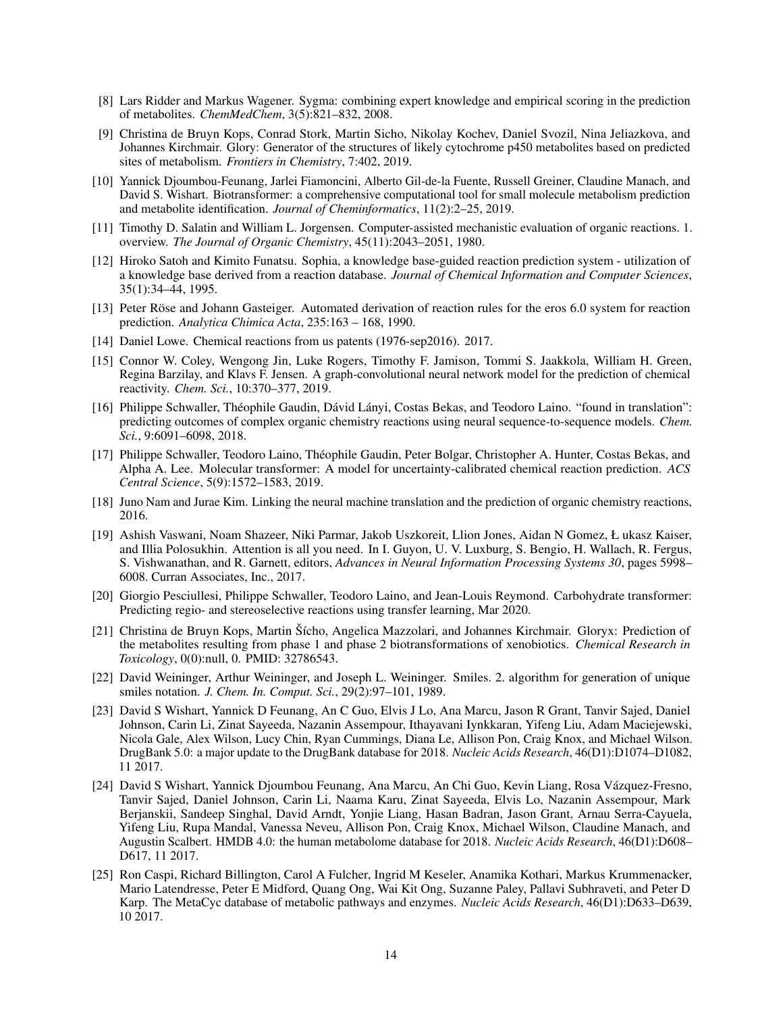- <span id="page-13-0"></span>[8] Lars Ridder and Markus Wagener. Sygma: combining expert knowledge and empirical scoring in the prediction of metabolites. *ChemMedChem*, 3(5):821–832, 2008.
- <span id="page-13-1"></span>[9] Christina de Bruyn Kops, Conrad Stork, Martin Sicho, Nikolay Kochev, Daniel Svozil, Nina Jeliazkova, and Johannes Kirchmair. Glory: Generator of the structures of likely cytochrome p450 metabolites based on predicted sites of metabolism. *Frontiers in Chemistry*, 7:402, 2019.
- <span id="page-13-2"></span>[10] Yannick Djoumbou-Feunang, Jarlei Fiamoncini, Alberto Gil-de-la Fuente, Russell Greiner, Claudine Manach, and David S. Wishart. Biotransformer: a comprehensive computational tool for small molecule metabolism prediction and metabolite identification. *Journal of Cheminformatics*, 11(2):2–25, 2019.
- <span id="page-13-3"></span>[11] Timothy D. Salatin and William L. Jorgensen. Computer-assisted mechanistic evaluation of organic reactions. 1. overview. *The Journal of Organic Chemistry*, 45(11):2043–2051, 1980.
- <span id="page-13-4"></span>[12] Hiroko Satoh and Kimito Funatsu. Sophia, a knowledge base-guided reaction prediction system - utilization of a knowledge base derived from a reaction database. *Journal of Chemical Information and Computer Sciences*, 35(1):34–44, 1995.
- <span id="page-13-5"></span>[13] Peter Röse and Johann Gasteiger. Automated derivation of reaction rules for the eros 6.0 system for reaction prediction. *Analytica Chimica Acta*, 235:163 – 168, 1990.
- <span id="page-13-6"></span>[14] Daniel Lowe. Chemical reactions from us patents (1976-sep2016). 2017.
- <span id="page-13-7"></span>[15] Connor W. Coley, Wengong Jin, Luke Rogers, Timothy F. Jamison, Tommi S. Jaakkola, William H. Green, Regina Barzilay, and Klavs F. Jensen. A graph-convolutional neural network model for the prediction of chemical reactivity. *Chem. Sci.*, 10:370–377, 2019.
- <span id="page-13-8"></span>[16] Philippe Schwaller, Théophile Gaudin, Dávid Lányi, Costas Bekas, and Teodoro Laino. "found in translation": predicting outcomes of complex organic chemistry reactions using neural sequence-to-sequence models. *Chem. Sci.*, 9:6091–6098, 2018.
- <span id="page-13-9"></span>[17] Philippe Schwaller, Teodoro Laino, Théophile Gaudin, Peter Bolgar, Christopher A. Hunter, Costas Bekas, and Alpha A. Lee. Molecular transformer: A model for uncertainty-calibrated chemical reaction prediction. *ACS Central Science*, 5(9):1572–1583, 2019.
- <span id="page-13-10"></span>[18] Juno Nam and Jurae Kim. Linking the neural machine translation and the prediction of organic chemistry reactions, 2016.
- <span id="page-13-11"></span>[19] Ashish Vaswani, Noam Shazeer, Niki Parmar, Jakob Uszkoreit, Llion Jones, Aidan N Gomez, Ł ukasz Kaiser, and Illia Polosukhin. Attention is all you need. In I. Guyon, U. V. Luxburg, S. Bengio, H. Wallach, R. Fergus, S. Vishwanathan, and R. Garnett, editors, *Advances in Neural Information Processing Systems 30*, pages 5998– 6008. Curran Associates, Inc., 2017.
- <span id="page-13-12"></span>[20] Giorgio Pesciullesi, Philippe Schwaller, Teodoro Laino, and Jean-Louis Reymond. Carbohydrate transformer: Predicting regio- and stereoselective reactions using transfer learning, Mar 2020.
- <span id="page-13-13"></span>[21] Christina de Bruyn Kops, Martin Šícho, Angelica Mazzolari, and Johannes Kirchmair. Gloryx: Prediction of the metabolites resulting from phase 1 and phase 2 biotransformations of xenobiotics. *Chemical Research in Toxicology*, 0(0):null, 0. PMID: 32786543.
- <span id="page-13-14"></span>[22] David Weininger, Arthur Weininger, and Joseph L. Weininger. Smiles. 2. algorithm for generation of unique smiles notation. *J. Chem. In. Comput. Sci.*, 29(2):97–101, 1989.
- <span id="page-13-15"></span>[23] David S Wishart, Yannick D Feunang, An C Guo, Elvis J Lo, Ana Marcu, Jason R Grant, Tanvir Sajed, Daniel Johnson, Carin Li, Zinat Sayeeda, Nazanin Assempour, Ithayavani Iynkkaran, Yifeng Liu, Adam Maciejewski, Nicola Gale, Alex Wilson, Lucy Chin, Ryan Cummings, Diana Le, Allison Pon, Craig Knox, and Michael Wilson. DrugBank 5.0: a major update to the DrugBank database for 2018. *Nucleic Acids Research*, 46(D1):D1074–D1082, 11 2017.
- <span id="page-13-16"></span>[24] David S Wishart, Yannick Djoumbou Feunang, Ana Marcu, An Chi Guo, Kevin Liang, Rosa Vázquez-Fresno, Tanvir Sajed, Daniel Johnson, Carin Li, Naama Karu, Zinat Sayeeda, Elvis Lo, Nazanin Assempour, Mark Berjanskii, Sandeep Singhal, David Arndt, Yonjie Liang, Hasan Badran, Jason Grant, Arnau Serra-Cayuela, Yifeng Liu, Rupa Mandal, Vanessa Neveu, Allison Pon, Craig Knox, Michael Wilson, Claudine Manach, and Augustin Scalbert. HMDB 4.0: the human metabolome database for 2018. *Nucleic Acids Research*, 46(D1):D608– D617, 11 2017.
- <span id="page-13-17"></span>[25] Ron Caspi, Richard Billington, Carol A Fulcher, Ingrid M Keseler, Anamika Kothari, Markus Krummenacker, Mario Latendresse, Peter E Midford, Quang Ong, Wai Kit Ong, Suzanne Paley, Pallavi Subhraveti, and Peter D Karp. The MetaCyc database of metabolic pathways and enzymes. *Nucleic Acids Research*, 46(D1):D633–D639, 10 2017.